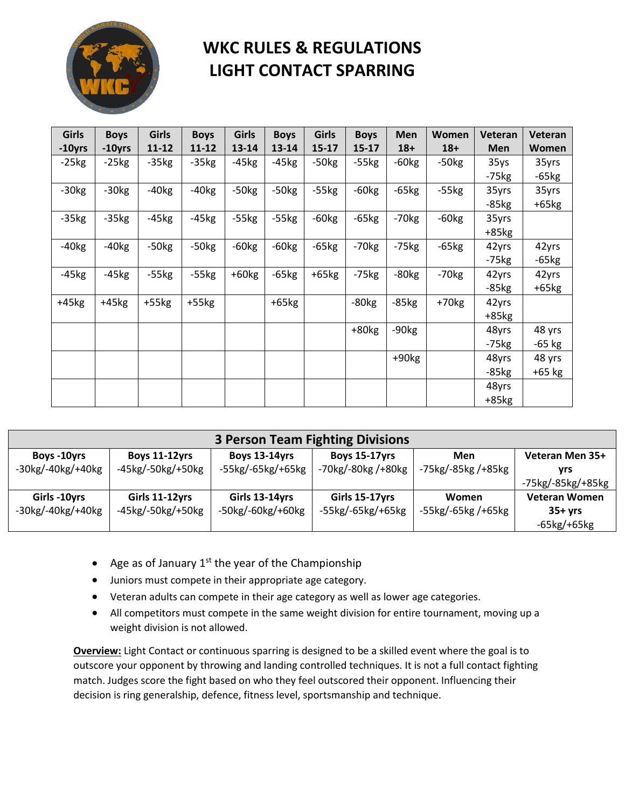

| <b>Girls</b> | <b>Boys</b> | <b>Girls</b> | <b>Boys</b> | <b>Girls</b> | <b>Boys</b> | <b>Girls</b> | <b>Boys</b> | Men     | <b>Women</b> | <b>Veteran</b>   | <b>Veteran</b> |
|--------------|-------------|--------------|-------------|--------------|-------------|--------------|-------------|---------|--------------|------------------|----------------|
| $-10$ yrs    | $-10$ yrs   | $11 - 12$    | $11 - 12$   | 13-14        | 13-14       | $15 - 17$    | $15 - 17$   | $18+$   | $18+$        | <b>Men</b>       | <b>Women</b>   |
| $-25kg$      | $-25kg$     | $-35kg$      | $-35kg$     | $-45kg$      | $-45kg$     | $-50kg$      | $-55kg$     | $-60kg$ | $-50kg$      | 35 <sub>ys</sub> | 35yrs          |
|              |             |              |             |              |             |              |             |         |              | $-75kg$          | $-65kg$        |
| $-30kg$      | $-30kg$     | $-40kg$      | $-40kg$     | $-50kg$      | $-50kg$     | $-55kg$      | $-60kg$     | $-65kg$ | $-55kg$      | 35yrs            | 35yrs          |
|              |             |              |             |              |             |              |             |         |              | $-85kg$          | $+65kg$        |
| $-35kg$      | $-35kg$     | $-45kg$      | $-45kg$     | $-55kg$      | $-55kg$     | $-60kg$      | $-65kg$     | $-70kg$ | $-60kg$      | 35yrs            |                |
|              |             |              |             |              |             |              |             |         |              | $+85kg$          |                |
| $-40kg$      | $-40kg$     | $-50kg$      | $-50kg$     | $-60kg$      | $-60kg$     | $-65kg$      | $-70kg$     | $-75kg$ | $-65kg$      | 42yrs            | 42yrs          |
|              |             |              |             |              |             |              |             |         |              | $-75kg$          | -65kg          |
| $-45kg$      | $-45kg$     | $-55kg$      | $-55kg$     | $+60kg$      | $-65kg$     | $+65kg$      | $-75kg$     | $-80kg$ | $-70kg$      | 42yrs            | 42yrs          |
|              |             |              |             |              |             |              |             |         |              | $-85kg$          | $+65kg$        |
| $+45kg$      | $+45kg$     | $+55kg$      | $+55kg$     |              | $+65kg$     |              | $-80kg$     | $-85kg$ | $+70kg$      | 42yrs            |                |
|              |             |              |             |              |             |              |             |         |              | $+85kg$          |                |
|              |             |              |             |              |             |              | $+80kg$     | $-90kg$ |              | 48yrs            | 48 yrs         |
|              |             |              |             |              |             |              |             |         |              | $-75kg$          | $-65$ kg       |
|              |             |              |             |              |             |              |             | $+90kg$ |              | 48yrs            | 48 yrs         |
|              |             |              |             |              |             |              |             |         |              | $-85kg$          | $+65$ kg       |
|              |             |              |             |              |             |              |             |         |              | 48yrs            |                |
|              |             |              |             |              |             |              |             |         |              | $+85kg$          |                |

| <b>3 Person Team Fighting Divisions</b> |                              |                              |                              |                              |                              |  |  |  |  |  |  |  |
|-----------------------------------------|------------------------------|------------------------------|------------------------------|------------------------------|------------------------------|--|--|--|--|--|--|--|
| Boys-10yrs                              | Boys 11-12yrs                | <b>Boys 13-14yrs</b>         | <b>Boys 15-17yrs</b>         | Men                          | Veteran Men 35+              |  |  |  |  |  |  |  |
| $-30$ kg/ $-40$ kg/ $+40$ kg            | $-45$ kg/ $-50$ kg/ $+50$ kg | -55kg/-65kg/+65kg            | $-70$ kg/ $-80$ kg/ $+80$ kg | $-75$ kg/ $-85$ kg/ $+85$ kg | vrs                          |  |  |  |  |  |  |  |
|                                         |                              |                              |                              |                              | $-75$ kg/ $-85$ kg/ $+85$ kg |  |  |  |  |  |  |  |
| Girls -10yrs                            | Girls 11-12yrs               | Girls 13-14yrs               | Girls 15-17yrs               | Women                        | Veteran Women                |  |  |  |  |  |  |  |
| $-30$ kg/ $-40$ kg/ $+40$ kg            | $-45$ kg/ $-50$ kg/ $+50$ kg | $-50$ kg/ $-60$ kg/ $+60$ kg | $-55$ kg/ $-65$ kg/ $+65$ kg | -55kg/-65kg /+65kg           | $35+vrs$                     |  |  |  |  |  |  |  |
|                                         |                              |                              |                              |                              | $-65$ kg/ $+65$ kg           |  |  |  |  |  |  |  |

- Age as of January  $1<sup>st</sup>$  the year of the Championship
- Juniors must compete in their appropriate age category.
- Veteran adults can compete in their age category as well as lower age categories.
- All competitors must compete in the same weight division for entire tournament, moving up a weight division is not allowed.

**Overview:** Light Contact or continuous sparring is designed to be a skilled event where the goal is to outscore your opponent by throwing and landing controlled techniques. It is not a full contact fighting match. Judges score the fight based on who they feel outscored their opponent. Influencing their decision is ring generalship, defence, fitness level, sportsmanship and technique.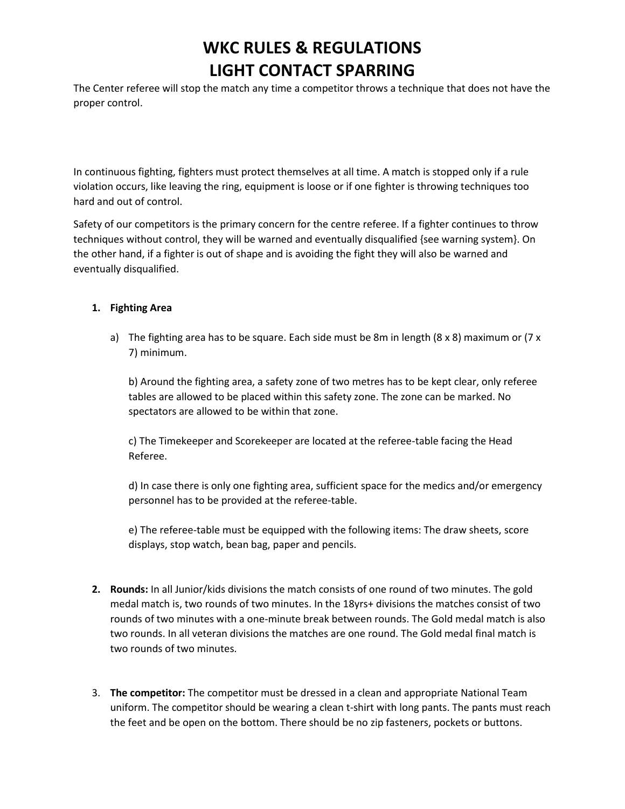The Center referee will stop the match any time a competitor throws a technique that does not have the proper control.

In continuous fighting, fighters must protect themselves at all time. A match is stopped only if a rule violation occurs, like leaving the ring, equipment is loose or if one fighter is throwing techniques too hard and out of control.

Safety of our competitors is the primary concern for the centre referee. If a fighter continues to throw techniques without control, they will be warned and eventually disqualified {see warning system}. On the other hand, if a fighter is out of shape and is avoiding the fight they will also be warned and eventually disqualified.

#### **1. Fighting Area**

a) The fighting area has to be square. Each side must be 8m in length (8 x 8) maximum or (7 x 7) minimum.

b) Around the fighting area, a safety zone of two metres has to be kept clear, only referee tables are allowed to be placed within this safety zone. The zone can be marked. No spectators are allowed to be within that zone.

c) The Timekeeper and Scorekeeper are located at the referee-table facing the Head Referee.

d) In case there is only one fighting area, sufficient space for the medics and/or emergency personnel has to be provided at the referee-table.

e) The referee-table must be equipped with the following items: The draw sheets, score displays, stop watch, bean bag, paper and pencils.

- **2. Rounds:** In all Junior/kids divisions the match consists of one round of two minutes. The gold medal match is, two rounds of two minutes. In the 18yrs+ divisions the matches consist of two rounds of two minutes with a one-minute break between rounds. The Gold medal match is also two rounds. In all veteran divisions the matches are one round. The Gold medal final match is two rounds of two minutes.
- 3. **The competitor:** The competitor must be dressed in a clean and appropriate National Team uniform. The competitor should be wearing a clean t-shirt with long pants. The pants must reach the feet and be open on the bottom. There should be no zip fasteners, pockets or buttons.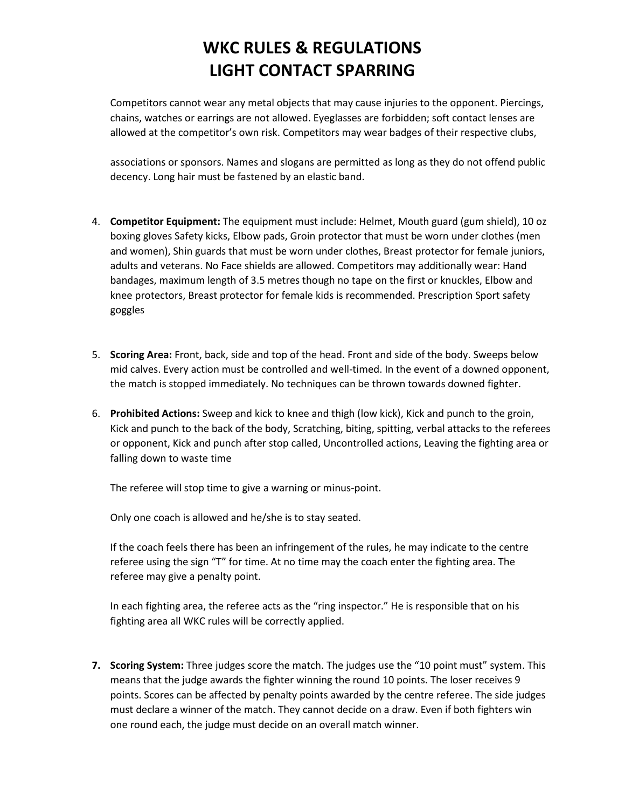Competitors cannot wear any metal objects that may cause injuries to the opponent. Piercings, chains, watches or earrings are not allowed. Eyeglasses are forbidden; soft contact lenses are allowed at the competitor's own risk. Competitors may wear badges of their respective clubs,

associations or sponsors. Names and slogans are permitted as long as they do not offend public decency. Long hair must be fastened by an elastic band.

- 4. **Competitor Equipment:** The equipment must include: Helmet, Mouth guard (gum shield), 10 oz boxing gloves Safety kicks, Elbow pads, Groin protector that must be worn under clothes (men and women), Shin guards that must be worn under clothes, Breast protector for female juniors, adults and veterans. No Face shields are allowed. Competitors may additionally wear: Hand bandages, maximum length of 3.5 metres though no tape on the first or knuckles, Elbow and knee protectors, Breast protector for female kids is recommended. Prescription Sport safety goggles
- 5. **Scoring Area:** Front, back, side and top of the head. Front and side of the body. Sweeps below mid calves. Every action must be controlled and well-timed. In the event of a downed opponent, the match is stopped immediately. No techniques can be thrown towards downed fighter.
- 6. **Prohibited Actions:** Sweep and kick to knee and thigh (low kick), Kick and punch to the groin, Kick and punch to the back of the body, Scratching, biting, spitting, verbal attacks to the referees or opponent, Kick and punch after stop called, Uncontrolled actions, Leaving the fighting area or falling down to waste time

The referee will stop time to give a warning or minus-point.

Only one coach is allowed and he/she is to stay seated.

If the coach feels there has been an infringement of the rules, he may indicate to the centre referee using the sign "T" for time. At no time may the coach enter the fighting area. The referee may give a penalty point.

In each fighting area, the referee acts as the "ring inspector." He is responsible that on his fighting area all WKC rules will be correctly applied.

**7. Scoring System:** Three judges score the match. The judges use the "10 point must" system. This means that the judge awards the fighter winning the round 10 points. The loser receives 9 points. Scores can be affected by penalty points awarded by the centre referee. The side judges must declare a winner of the match. They cannot decide on a draw. Even if both fighters win one round each, the judge must decide on an overall match winner.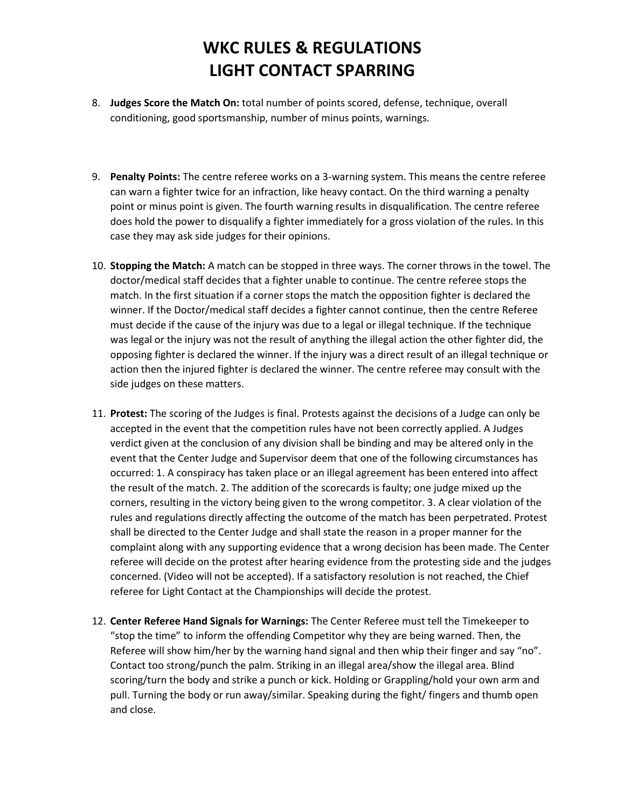- 8. **Judges Score the Match On:** total number of points scored, defense, technique, overall conditioning, good sportsmanship, number of minus points, warnings.
- 9. **Penalty Points:** The centre referee works on a 3-warning system. This means the centre referee can warn a fighter twice for an infraction, like heavy contact. On the third warning a penalty point or minus point is given. The fourth warning results in disqualification. The centre referee does hold the power to disqualify a fighter immediately for a gross violation of the rules. In this case they may ask side judges for their opinions.
- 10. **Stopping the Match:** A match can be stopped in three ways. The corner throws in the towel. The doctor/medical staff decides that a fighter unable to continue. The centre referee stops the match. In the first situation if a corner stops the match the opposition fighter is declared the winner. If the Doctor/medical staff decides a fighter cannot continue, then the centre Referee must decide if the cause of the injury was due to a legal or illegal technique. If the technique was legal or the injury was not the result of anything the illegal action the other fighter did, the opposing fighter is declared the winner. If the injury was a direct result of an illegal technique or action then the injured fighter is declared the winner. The centre referee may consult with the side judges on these matters.
- 11. **Protest:** The scoring of the Judges is final. Protests against the decisions of a Judge can only be accepted in the event that the competition rules have not been correctly applied. A Judges verdict given at the conclusion of any division shall be binding and may be altered only in the event that the Center Judge and Supervisor deem that one of the following circumstances has occurred: 1. A conspiracy has taken place or an illegal agreement has been entered into affect the result of the match. 2. The addition of the scorecards is faulty; one judge mixed up the corners, resulting in the victory being given to the wrong competitor. 3. A clear violation of the rules and regulations directly affecting the outcome of the match has been perpetrated. Protest shall be directed to the Center Judge and shall state the reason in a proper manner for the complaint along with any supporting evidence that a wrong decision has been made. The Center referee will decide on the protest after hearing evidence from the protesting side and the judges concerned. (Video will not be accepted). If a satisfactory resolution is not reached, the Chief referee for Light Contact at the Championships will decide the protest.
- 12. **Center Referee Hand Signals for Warnings:** The Center Referee must tell the Timekeeper to "stop the time" to inform the offending Competitor why they are being warned. Then, the Referee will show him/her by the warning hand signal and then whip their finger and say "no". Contact too strong/punch the palm. Striking in an illegal area/show the illegal area. Blind scoring/turn the body and strike a punch or kick. Holding or Grappling/hold your own arm and pull. Turning the body or run away/similar. Speaking during the fight/ fingers and thumb open and close.